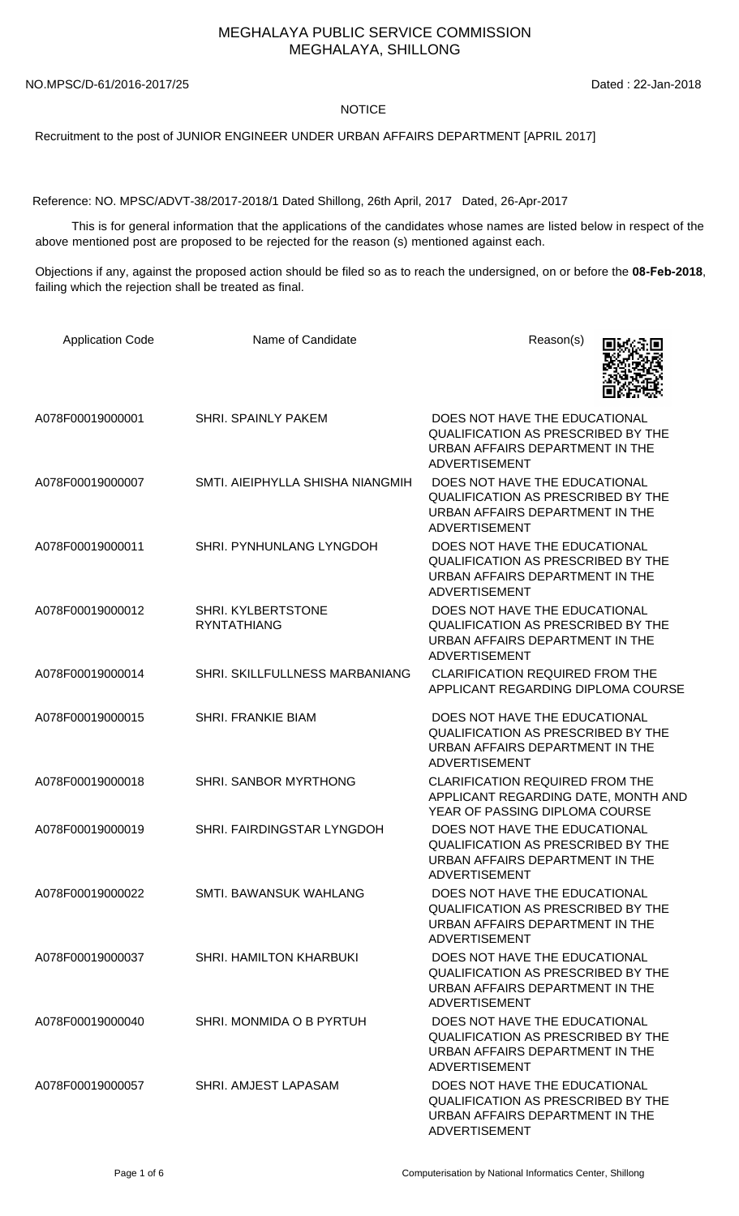## MEGHALAYA PUBLIC SERVICE COMMISSION MEGHALAYA, SHILLONG

NO.MPSC/D-61/2016-2017/25 Dated : 22-Jan-2018

## **NOTICE**

Recruitment to the post of JUNIOR ENGINEER UNDER URBAN AFFAIRS DEPARTMENT [APRIL 2017]

Reference: NO. MPSC/ADVT-38/2017-2018/1 Dated Shillong, 26th April, 2017 Dated, 26-Apr-2017

 This is for general information that the applications of the candidates whose names are listed below in respect of the above mentioned post are proposed to be rejected for the reason (s) mentioned against each.

Objections if any, against the proposed action should be filed so as to reach the undersigned, on or before the **08-Feb-2018**, failing which the rejection shall be treated as final.

| <b>Application Code</b> | Name of Candidate                        | Reason(s)                                                                                                                             |
|-------------------------|------------------------------------------|---------------------------------------------------------------------------------------------------------------------------------------|
| A078F00019000001        | <b>SHRI. SPAINLY PAKEM</b>               | DOES NOT HAVE THE EDUCATIONAL<br><b>QUALIFICATION AS PRESCRIBED BY THE</b><br>URBAN AFFAIRS DEPARTMENT IN THE<br><b>ADVERTISEMENT</b> |
| A078F00019000007        | SMTI. AIEIPHYLLA SHISHA NIANGMIH         | DOES NOT HAVE THE EDUCATIONAL<br><b>QUALIFICATION AS PRESCRIBED BY THE</b><br>URBAN AFFAIRS DEPARTMENT IN THE<br><b>ADVERTISEMENT</b> |
| A078F00019000011        | SHRI. PYNHUNLANG LYNGDOH                 | DOES NOT HAVE THE EDUCATIONAL<br><b>QUALIFICATION AS PRESCRIBED BY THE</b><br>URBAN AFFAIRS DEPARTMENT IN THE<br><b>ADVERTISEMENT</b> |
| A078F00019000012        | SHRI. KYLBERTSTONE<br><b>RYNTATHIANG</b> | DOES NOT HAVE THE EDUCATIONAL<br><b>QUALIFICATION AS PRESCRIBED BY THE</b><br>URBAN AFFAIRS DEPARTMENT IN THE<br><b>ADVERTISEMENT</b> |
| A078F00019000014        | SHRI. SKILLFULLNESS MARBANIANG           | <b>CLARIFICATION REQUIRED FROM THE</b><br>APPLICANT REGARDING DIPLOMA COURSE                                                          |
| A078F00019000015        | <b>SHRI. FRANKIE BIAM</b>                | DOES NOT HAVE THE EDUCATIONAL<br><b>QUALIFICATION AS PRESCRIBED BY THE</b><br>URBAN AFFAIRS DEPARTMENT IN THE<br><b>ADVERTISEMENT</b> |
| A078F00019000018        | SHRI. SANBOR MYRTHONG                    | <b>CLARIFICATION REQUIRED FROM THE</b><br>APPLICANT REGARDING DATE, MONTH AND<br>YEAR OF PASSING DIPLOMA COURSE                       |
| A078F00019000019        | SHRI. FAIRDINGSTAR LYNGDOH               | DOES NOT HAVE THE EDUCATIONAL<br><b>QUALIFICATION AS PRESCRIBED BY THE</b><br>URBAN AFFAIRS DEPARTMENT IN THE<br>ADVERTISEMENT        |
| A078F00019000022        | SMTL BAWANSUK WAHLANG                    | DOES NOT HAVE THE EDUCATIONAL<br><b>QUALIFICATION AS PRESCRIBED BY THE</b><br>URBAN AFFAIRS DEPARTMENT IN THE<br><b>ADVERTISEMENT</b> |
| A078F00019000037        | SHRI. HAMILTON KHARBUKI                  | DOES NOT HAVE THE EDUCATIONAL<br><b>QUALIFICATION AS PRESCRIBED BY THE</b><br>URBAN AFFAIRS DEPARTMENT IN THE<br>ADVERTISEMENT        |
| A078F00019000040        | SHRI. MONMIDA O B PYRTUH                 | DOES NOT HAVE THE EDUCATIONAL<br><b>QUALIFICATION AS PRESCRIBED BY THE</b><br>URBAN AFFAIRS DEPARTMENT IN THE<br>ADVERTISEMENT        |
| A078F00019000057        | SHRI. AMJEST LAPASAM                     | DOES NOT HAVE THE EDUCATIONAL<br>QUALIFICATION AS PRESCRIBED BY THE<br>URBAN AFFAIRS DEPARTMENT IN THE<br><b>ADVERTISEMENT</b>        |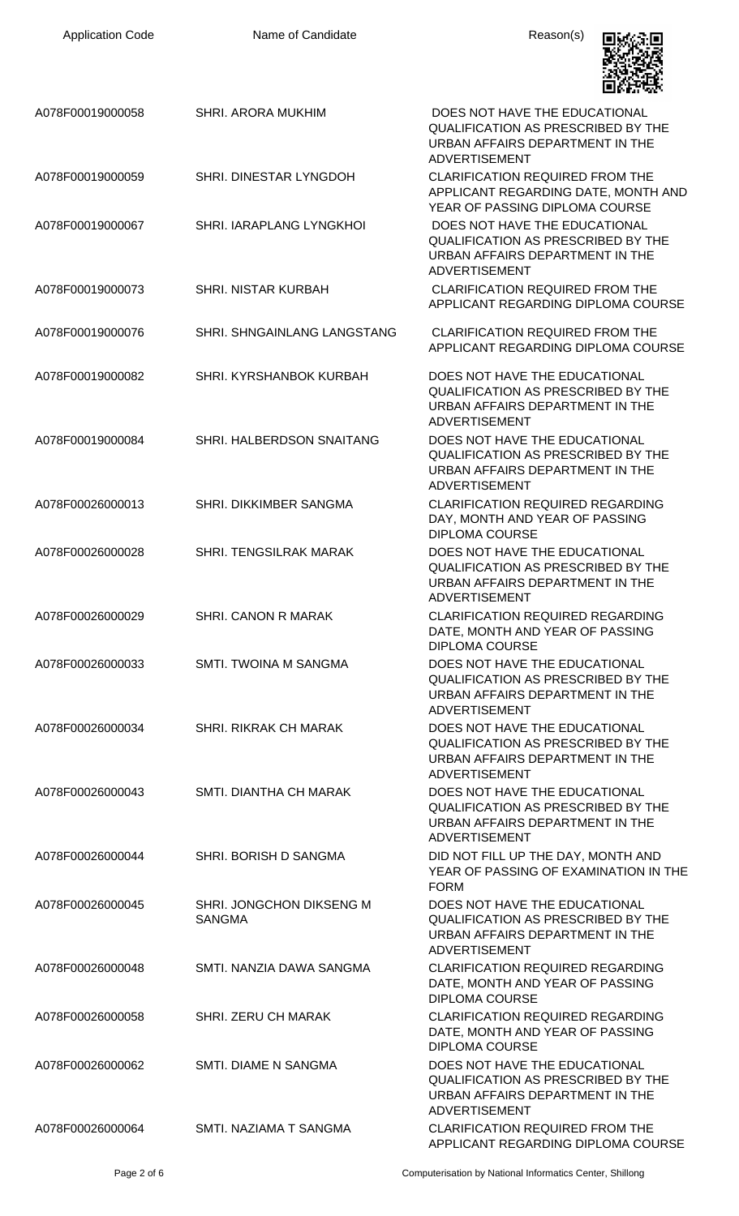| <b>Application Code</b> | Name of Candidate                         | Reason(s)                                                                                                                             |
|-------------------------|-------------------------------------------|---------------------------------------------------------------------------------------------------------------------------------------|
| A078F00019000058        | SHRI. ARORA MUKHIM                        | DOES NOT HAVE THE EDUCATIONAL<br><b>QUALIFICATION AS PRESCRIBED BY THE</b><br>URBAN AFFAIRS DEPARTMENT IN THE<br><b>ADVERTISEMENT</b> |
| A078F00019000059        | SHRI. DINESTAR LYNGDOH                    | <b>CLARIFICATION REQUIRED FROM THE</b><br>APPLICANT REGARDING DATE, MONTH AND<br>YEAR OF PASSING DIPLOMA COURSE                       |
| A078F00019000067        | SHRI. IARAPLANG LYNGKHOI                  | DOES NOT HAVE THE EDUCATIONAL<br><b>QUALIFICATION AS PRESCRIBED BY THE</b><br>URBAN AFFAIRS DEPARTMENT IN THE<br><b>ADVERTISEMENT</b> |
| A078F00019000073        | <b>SHRI. NISTAR KURBAH</b>                | <b>CLARIFICATION REQUIRED FROM THE</b><br>APPLICANT REGARDING DIPLOMA COURSE                                                          |
| A078F00019000076        | SHRI. SHNGAINLANG LANGSTANG               | <b>CLARIFICATION REQUIRED FROM THE</b><br>APPLICANT REGARDING DIPLOMA COURSE                                                          |
| A078F00019000082        | SHRI. KYRSHANBOK KURBAH                   | DOES NOT HAVE THE EDUCATIONAL<br><b>QUALIFICATION AS PRESCRIBED BY THE</b><br>URBAN AFFAIRS DEPARTMENT IN THE<br><b>ADVERTISEMENT</b> |
| A078F00019000084        | SHRI. HALBERDSON SNAITANG                 | DOES NOT HAVE THE EDUCATIONAL<br>QUALIFICATION AS PRESCRIBED BY THE<br>URBAN AFFAIRS DEPARTMENT IN THE<br><b>ADVERTISEMENT</b>        |
| A078F00026000013        | SHRI. DIKKIMBER SANGMA                    | <b>CLARIFICATION REQUIRED REGARDING</b><br>DAY, MONTH AND YEAR OF PASSING<br><b>DIPLOMA COURSE</b>                                    |
| A078F00026000028        | <b>SHRI. TENGSILRAK MARAK</b>             | DOES NOT HAVE THE EDUCATIONAL<br><b>OUALIFICATION AS PRESCRIBED BY THE</b><br>URBAN AFFAIRS DEPARTMENT IN THE<br><b>ADVERTISEMENT</b> |
| A078F00026000029        | SHRI, CANON R MARAK                       | <b>CLARIFICATION REQUIRED REGARDING</b><br>DATE, MONTH AND YEAR OF PASSING<br><b>DIPLOMA COURSE</b>                                   |
| A078F00026000033        | SMTI. TWOINA M SANGMA                     | DOES NOT HAVE THE EDUCATIONAL<br><b>QUALIFICATION AS PRESCRIBED BY THE</b><br>URBAN AFFAIRS DEPARTMENT IN THE<br><b>ADVERTISEMENT</b> |
| A078F00026000034        | <b>SHRI. RIKRAK CH MARAK</b>              | DOES NOT HAVE THE EDUCATIONAL<br>QUALIFICATION AS PRESCRIBED BY THE<br>URBAN AFFAIRS DEPARTMENT IN THE<br><b>ADVERTISEMENT</b>        |
| A078F00026000043        | SMTI. DIANTHA CH MARAK                    | DOES NOT HAVE THE EDUCATIONAL<br>QUALIFICATION AS PRESCRIBED BY THE<br>URBAN AFFAIRS DEPARTMENT IN THE<br><b>ADVERTISEMENT</b>        |
| A078F00026000044        | SHRI. BORISH D SANGMA                     | DID NOT FILL UP THE DAY, MONTH AND<br>YEAR OF PASSING OF EXAMINATION IN THE<br><b>FORM</b>                                            |
| A078F00026000045        | SHRI. JONGCHON DIKSENG M<br><b>SANGMA</b> | DOES NOT HAVE THE EDUCATIONAL<br><b>QUALIFICATION AS PRESCRIBED BY THE</b><br>URBAN AFFAIRS DEPARTMENT IN THE<br><b>ADVERTISEMENT</b> |
| A078F00026000048        | SMTI, NANZIA DAWA SANGMA                  | <b>CLARIFICATION REQUIRED REGARDING</b><br>DATE, MONTH AND YEAR OF PASSING<br><b>DIPLOMA COURSE</b>                                   |
| A078F00026000058        | SHRI. ZERU CH MARAK                       | <b>CLARIFICATION REQUIRED REGARDING</b><br>DATE, MONTH AND YEAR OF PASSING<br><b>DIPLOMA COURSE</b>                                   |
| A078F00026000062        | SMTI. DIAME N SANGMA                      | DOES NOT HAVE THE EDUCATIONAL<br><b>QUALIFICATION AS PRESCRIBED BY THE</b><br>URBAN AFFAIRS DEPARTMENT IN THE<br>ADVERTISEMENT        |
| A078F00026000064        | SMTI. NAZIAMA T SANGMA                    | <b>CLARIFICATION REQUIRED FROM THE</b><br>APPLICANT REGARDING DIPLOMA COURSE                                                          |

Page 2 of 6 Computerisation by National Informatics Center, Shillong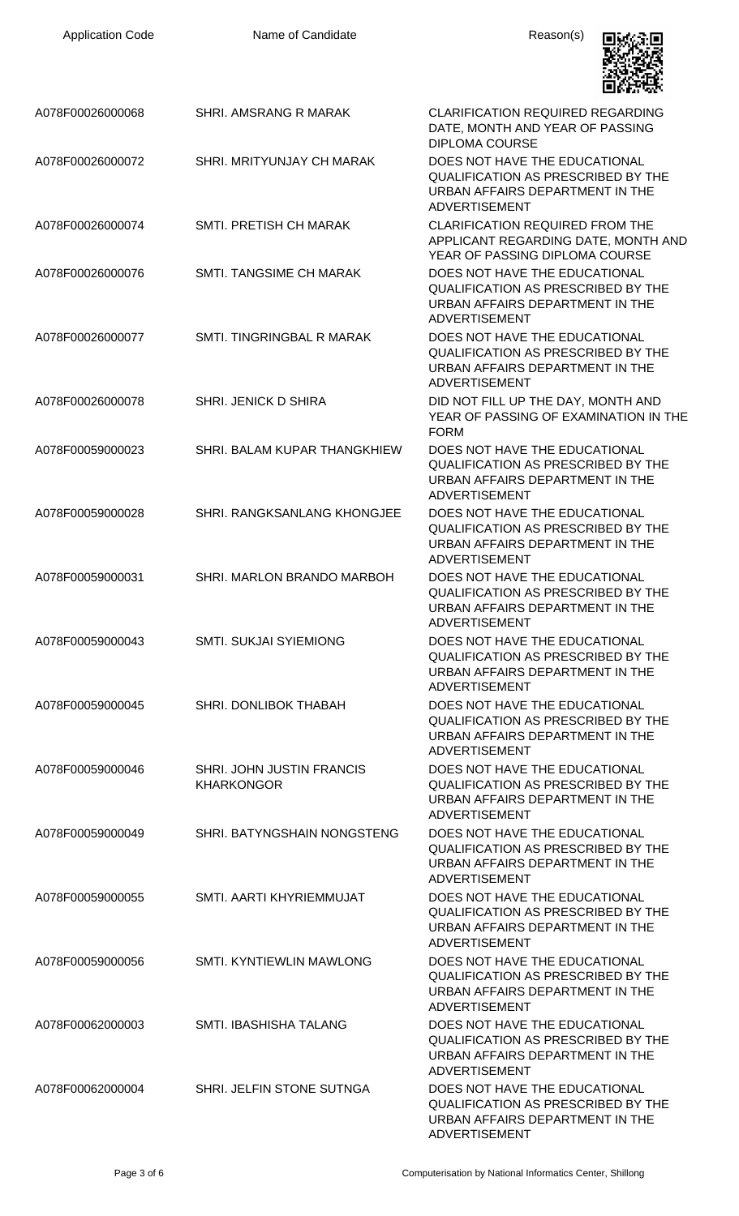| <b>Application Code</b> | Name of Candidate                              | Reason(s)                                                                                                                             |
|-------------------------|------------------------------------------------|---------------------------------------------------------------------------------------------------------------------------------------|
| A078F00026000068        | SHRI. AMSRANG R MARAK                          | <b>CLARIFICATION REQUIRED REGARDING</b><br>DATE, MONTH AND YEAR OF PASSING<br><b>DIPLOMA COURSE</b>                                   |
| A078F00026000072        | SHRI. MRITYUNJAY CH MARAK                      | DOES NOT HAVE THE EDUCATIONAL<br><b>QUALIFICATION AS PRESCRIBED BY THE</b><br>URBAN AFFAIRS DEPARTMENT IN THE<br><b>ADVERTISEMENT</b> |
| A078F00026000074        | SMTI. PRETISH CH MARAK                         | <b>CLARIFICATION REQUIRED FROM THE</b><br>APPLICANT REGARDING DATE, MONTH AND<br>YEAR OF PASSING DIPLOMA COURSE                       |
| A078F00026000076        | <b>SMTI. TANGSIME CH MARAK</b>                 | DOES NOT HAVE THE EDUCATIONAL<br><b>QUALIFICATION AS PRESCRIBED BY THE</b><br>URBAN AFFAIRS DEPARTMENT IN THE<br><b>ADVERTISEMENT</b> |
| A078F00026000077        | SMTI. TINGRINGBAL R MARAK                      | DOES NOT HAVE THE EDUCATIONAL<br>QUALIFICATION AS PRESCRIBED BY THE<br>URBAN AFFAIRS DEPARTMENT IN THE<br><b>ADVERTISEMENT</b>        |
| A078F00026000078        | SHRI. JENICK D SHIRA                           | DID NOT FILL UP THE DAY, MONTH AND<br>YEAR OF PASSING OF EXAMINATION IN THE<br><b>FORM</b>                                            |
| A078F00059000023        | SHRI. BALAM KUPAR THANGKHIEW                   | DOES NOT HAVE THE EDUCATIONAL<br>QUALIFICATION AS PRESCRIBED BY THE<br>URBAN AFFAIRS DEPARTMENT IN THE<br><b>ADVERTISEMENT</b>        |
| A078F00059000028        | SHRI. RANGKSANLANG KHONGJEE                    | DOES NOT HAVE THE EDUCATIONAL<br>QUALIFICATION AS PRESCRIBED BY THE<br>URBAN AFFAIRS DEPARTMENT IN THE<br>ADVERTISEMENT               |
| A078F00059000031        | SHRI. MARLON BRANDO MARBOH                     | DOES NOT HAVE THE EDUCATIONAL<br><b>QUALIFICATION AS PRESCRIBED BY THE</b><br>URBAN AFFAIRS DEPARTMENT IN THE<br><b>ADVERTISEMENT</b> |
| A078F00059000043        | <b>SMTI. SUKJAI SYIEMIONG</b>                  | DOES NOT HAVE THE EDUCATIONAL<br><b>QUALIFICATION AS PRESCRIBED BY THE</b><br>URBAN AFFAIRS DEPARTMENT IN THE<br><b>ADVERTISEMENT</b> |
| A078F00059000045        | SHRI. DONLIBOK THABAH                          | DOES NOT HAVE THE EDUCATIONAL<br><b>QUALIFICATION AS PRESCRIBED BY THE</b><br>URBAN AFFAIRS DEPARTMENT IN THE<br><b>ADVERTISEMENT</b> |
| A078F00059000046        | SHRI. JOHN JUSTIN FRANCIS<br><b>KHARKONGOR</b> | DOES NOT HAVE THE EDUCATIONAL<br><b>QUALIFICATION AS PRESCRIBED BY THE</b><br>URBAN AFFAIRS DEPARTMENT IN THE<br>ADVERTISEMENT        |
| A078F00059000049        | SHRI. BATYNGSHAIN NONGSTENG                    | DOES NOT HAVE THE EDUCATIONAL<br>QUALIFICATION AS PRESCRIBED BY THE<br>URBAN AFFAIRS DEPARTMENT IN THE<br><b>ADVERTISEMENT</b>        |
| A078F00059000055        | SMTI. AARTI KHYRIEMMUJAT                       | DOES NOT HAVE THE EDUCATIONAL<br><b>QUALIFICATION AS PRESCRIBED BY THE</b><br>URBAN AFFAIRS DEPARTMENT IN THE<br><b>ADVERTISEMENT</b> |
| A078F00059000056        | <b>SMTI. KYNTIEWLIN MAWLONG</b>                | DOES NOT HAVE THE EDUCATIONAL<br><b>QUALIFICATION AS PRESCRIBED BY THE</b><br>URBAN AFFAIRS DEPARTMENT IN THE<br><b>ADVERTISEMENT</b> |
| A078F00062000003        | <b>SMTI. IBASHISHA TALANG</b>                  | DOES NOT HAVE THE EDUCATIONAL<br><b>QUALIFICATION AS PRESCRIBED BY THE</b><br>URBAN AFFAIRS DEPARTMENT IN THE<br><b>ADVERTISEMENT</b> |
| A078F00062000004        | SHRI. JELFIN STONE SUTNGA                      | DOES NOT HAVE THE EDUCATIONAL<br>QUALIFICATION AS PRESCRIBED BY THE<br>URBAN AFFAIRS DEPARTMENT IN THE<br>ADVERTISEMENT               |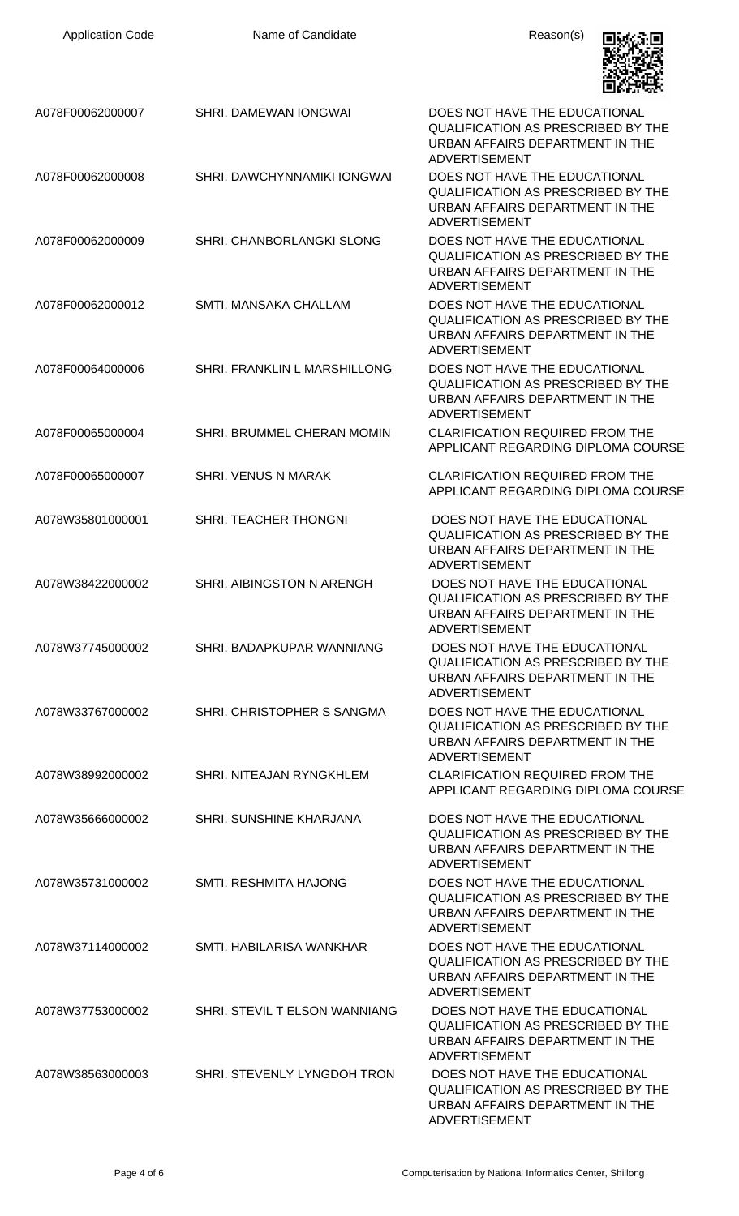| <b>Application Code</b> | Name of Candidate             | Reason(s)                                                                                                                             |
|-------------------------|-------------------------------|---------------------------------------------------------------------------------------------------------------------------------------|
| A078F00062000007        | SHRI. DAMEWAN IONGWAI         | DOES NOT HAVE THE EDUCATIONAL<br>QUALIFICATION AS PRESCRIBED BY THE<br>URBAN AFFAIRS DEPARTMENT IN THE<br><b>ADVERTISEMENT</b>        |
| A078F00062000008        | SHRI. DAWCHYNNAMIKI IONGWAI   | DOES NOT HAVE THE EDUCATIONAL<br><b>QUALIFICATION AS PRESCRIBED BY THE</b><br>URBAN AFFAIRS DEPARTMENT IN THE<br><b>ADVERTISEMENT</b> |
| A078F00062000009        | SHRI. CHANBORLANGKI SLONG     | DOES NOT HAVE THE EDUCATIONAL<br><b>QUALIFICATION AS PRESCRIBED BY THE</b><br>URBAN AFFAIRS DEPARTMENT IN THE<br><b>ADVERTISEMENT</b> |
| A078F00062000012        | SMTI. MANSAKA CHALLAM         | DOES NOT HAVE THE EDUCATIONAL<br><b>QUALIFICATION AS PRESCRIBED BY THE</b><br>URBAN AFFAIRS DEPARTMENT IN THE<br><b>ADVERTISEMENT</b> |
| A078F00064000006        | SHRI. FRANKLIN L MARSHILLONG  | DOES NOT HAVE THE EDUCATIONAL<br><b>QUALIFICATION AS PRESCRIBED BY THE</b><br>URBAN AFFAIRS DEPARTMENT IN THE<br><b>ADVERTISEMENT</b> |
| A078F00065000004        | SHRI. BRUMMEL CHERAN MOMIN    | <b>CLARIFICATION REQUIRED FROM THE</b><br>APPLICANT REGARDING DIPLOMA COURSE                                                          |
| A078F00065000007        | SHRI. VENUS N MARAK           | <b>CLARIFICATION REQUIRED FROM THE</b><br>APPLICANT REGARDING DIPLOMA COURSE                                                          |
| A078W35801000001        | SHRI. TEACHER THONGNI         | DOES NOT HAVE THE EDUCATIONAL<br><b>QUALIFICATION AS PRESCRIBED BY THE</b><br>URBAN AFFAIRS DEPARTMENT IN THE<br>ADVERTISEMENT        |
| A078W38422000002        | SHRI. AIBINGSTON N ARENGH     | DOES NOT HAVE THE EDUCATIONAL<br><b>QUALIFICATION AS PRESCRIBED BY THE</b><br>URBAN AFFAIRS DEPARTMENT IN THE<br><b>ADVERTISEMENT</b> |
| A078W37745000002        | SHRI. BADAPKUPAR WANNIANG     | DOES NOT HAVE THE EDUCATIONAL<br><b>QUALIFICATION AS PRESCRIBED BY THE</b><br>URBAN AFFAIRS DEPARTMENT IN THE<br><b>ADVERTISEMENT</b> |
| A078W33767000002        | SHRI. CHRISTOPHER S SANGMA    | DOES NOT HAVE THE EDUCATIONAL<br><b>QUALIFICATION AS PRESCRIBED BY THE</b><br>URBAN AFFAIRS DEPARTMENT IN THE<br>ADVERTISEMENT        |
| A078W38992000002        | SHRI. NITEAJAN RYNGKHLEM      | <b>CLARIFICATION REQUIRED FROM THE</b><br>APPLICANT REGARDING DIPLOMA COURSE                                                          |
| A078W35666000002        | SHRI. SUNSHINE KHARJANA       | DOES NOT HAVE THE EDUCATIONAL<br><b>QUALIFICATION AS PRESCRIBED BY THE</b><br>URBAN AFFAIRS DEPARTMENT IN THE<br><b>ADVERTISEMENT</b> |
| A078W35731000002        | <b>SMTI. RESHMITA HAJONG</b>  | DOES NOT HAVE THE EDUCATIONAL<br><b>QUALIFICATION AS PRESCRIBED BY THE</b><br>URBAN AFFAIRS DEPARTMENT IN THE<br><b>ADVERTISEMENT</b> |
| A078W37114000002        | SMTI. HABILARISA WANKHAR      | DOES NOT HAVE THE EDUCATIONAL<br>QUALIFICATION AS PRESCRIBED BY THE<br>URBAN AFFAIRS DEPARTMENT IN THE<br><b>ADVERTISEMENT</b>        |
| A078W37753000002        | SHRI. STEVIL T ELSON WANNIANG | DOES NOT HAVE THE EDUCATIONAL<br><b>QUALIFICATION AS PRESCRIBED BY THE</b><br>URBAN AFFAIRS DEPARTMENT IN THE<br>ADVERTISEMENT        |
| A078W38563000003        | SHRI. STEVENLY LYNGDOH TRON   | DOES NOT HAVE THE EDUCATIONAL<br><b>QUALIFICATION AS PRESCRIBED BY THE</b><br>URBAN AFFAIRS DEPARTMENT IN THE<br>ADVERTISEMENT        |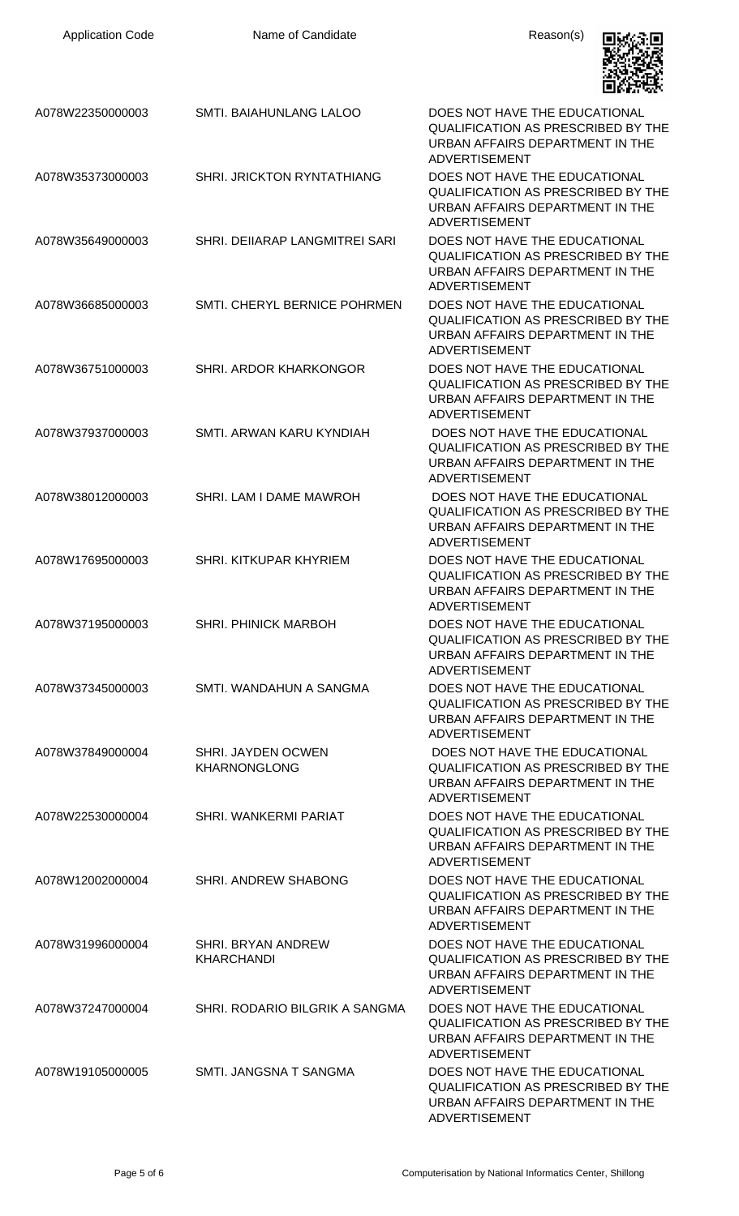| <b>Application Code</b> | Name of Candidate                         | Reason(s)                                                                                                                             |
|-------------------------|-------------------------------------------|---------------------------------------------------------------------------------------------------------------------------------------|
| A078W22350000003        | SMTI. BAIAHUNLANG LALOO                   | DOES NOT HAVE THE EDUCATIONAL<br><b>QUALIFICATION AS PRESCRIBED BY THE</b><br>URBAN AFFAIRS DEPARTMENT IN THE<br><b>ADVERTISEMENT</b> |
| A078W35373000003        | <b>SHRI. JRICKTON RYNTATHIANG</b>         | DOES NOT HAVE THE EDUCATIONAL<br><b>QUALIFICATION AS PRESCRIBED BY THE</b><br>URBAN AFFAIRS DEPARTMENT IN THE<br><b>ADVERTISEMENT</b> |
| A078W35649000003        | SHRI. DEIIARAP LANGMITREI SARI            | DOES NOT HAVE THE EDUCATIONAL<br><b>QUALIFICATION AS PRESCRIBED BY THE</b><br>URBAN AFFAIRS DEPARTMENT IN THE<br><b>ADVERTISEMENT</b> |
| A078W36685000003        | SMTI. CHERYL BERNICE POHRMEN              | DOES NOT HAVE THE EDUCATIONAL<br><b>QUALIFICATION AS PRESCRIBED BY THE</b><br>URBAN AFFAIRS DEPARTMENT IN THE<br><b>ADVERTISEMENT</b> |
| A078W36751000003        | SHRI. ARDOR KHARKONGOR                    | DOES NOT HAVE THE EDUCATIONAL<br>QUALIFICATION AS PRESCRIBED BY THE<br>URBAN AFFAIRS DEPARTMENT IN THE<br><b>ADVERTISEMENT</b>        |
| A078W37937000003        | SMTI, ARWAN KARU KYNDIAH                  | DOES NOT HAVE THE EDUCATIONAL<br><b>QUALIFICATION AS PRESCRIBED BY THE</b><br>URBAN AFFAIRS DEPARTMENT IN THE<br><b>ADVERTISEMENT</b> |
| A078W38012000003        | SHRI. LAM I DAME MAWROH                   | DOES NOT HAVE THE EDUCATIONAL<br>QUALIFICATION AS PRESCRIBED BY THE<br>URBAN AFFAIRS DEPARTMENT IN THE<br><b>ADVERTISEMENT</b>        |
| A078W17695000003        | SHRI. KITKUPAR KHYRIEM                    | DOES NOT HAVE THE EDUCATIONAL<br><b>QUALIFICATION AS PRESCRIBED BY THE</b><br>URBAN AFFAIRS DEPARTMENT IN THE<br><b>ADVERTISEMENT</b> |
| A078W37195000003        | <b>SHRI. PHINICK MARBOH</b>               | DOES NOT HAVE THE EDUCATIONAL<br><b>QUALIFICATION AS PRESCRIBED BY THE</b><br>URBAN AFFAIRS DEPARTMENT IN THE<br><b>ADVERTISEMENT</b> |
| A078W37345000003        | SMTI. WANDAHUN A SANGMA                   | DOES NOT HAVE THE EDUCATIONAL<br><b>QUALIFICATION AS PRESCRIBED BY THE</b><br>URBAN AFFAIRS DEPARTMENT IN THE<br><b>ADVERTISEMENT</b> |
| A078W37849000004        | SHRI. JAYDEN OCWEN<br><b>KHARNONGLONG</b> | DOES NOT HAVE THE EDUCATIONAL<br><b>QUALIFICATION AS PRESCRIBED BY THE</b><br>URBAN AFFAIRS DEPARTMENT IN THE<br><b>ADVERTISEMENT</b> |
| A078W22530000004        | SHRI, WANKERMI PARIAT                     | DOES NOT HAVE THE EDUCATIONAL<br><b>QUALIFICATION AS PRESCRIBED BY THE</b><br>URBAN AFFAIRS DEPARTMENT IN THE<br><b>ADVERTISEMENT</b> |
| A078W12002000004        | SHRI. ANDREW SHABONG                      | DOES NOT HAVE THE EDUCATIONAL<br>QUALIFICATION AS PRESCRIBED BY THE<br>URBAN AFFAIRS DEPARTMENT IN THE<br><b>ADVERTISEMENT</b>        |
| A078W31996000004        | SHRI. BRYAN ANDREW<br><b>KHARCHANDI</b>   | DOES NOT HAVE THE EDUCATIONAL<br>QUALIFICATION AS PRESCRIBED BY THE<br>URBAN AFFAIRS DEPARTMENT IN THE<br><b>ADVERTISEMENT</b>        |
| A078W37247000004        | SHRI. RODARIO BILGRIK A SANGMA            | DOES NOT HAVE THE EDUCATIONAL<br><b>QUALIFICATION AS PRESCRIBED BY THE</b><br>URBAN AFFAIRS DEPARTMENT IN THE<br><b>ADVERTISEMENT</b> |
| A078W19105000005        | SMTI. JANGSNA T SANGMA                    | DOES NOT HAVE THE EDUCATIONAL<br><b>QUALIFICATION AS PRESCRIBED BY THE</b><br>URBAN AFFAIRS DEPARTMENT IN THE<br><b>ADVERTISEMENT</b> |